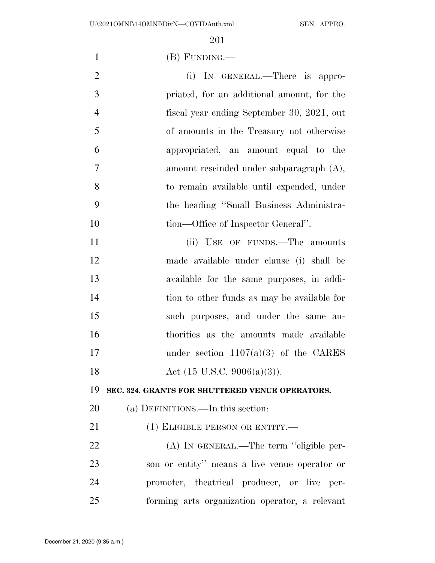(B) FUNDING.—

- 2 (i) IN GENERAL.—There is appro- priated, for an additional amount, for the fiscal year ending September 30, 2021, out of amounts in the Treasury not otherwise appropriated, an amount equal to the amount rescinded under subparagraph (A), to remain available until expended, under the heading ''Small Business Administra-10 tion—Office of Inspector General". 11 (ii) USE OF FUNDS.—The amounts
- made available under clause (i) shall be available for the same purposes, in addi- tion to other funds as may be available for such purposes, and under the same au- thorities as the amounts made available 17 under section 1107(a)(3) of the CARES 18 Act (15 U.S.C. 9006(a)(3)).

**SEC. 324. GRANTS FOR SHUTTERED VENUE OPERATORS.** 

(a) DEFINITIONS.—In this section:

21 (1) ELIGIBLE PERSON OR ENTITY.—

 (A) IN GENERAL.—The term ''eligible per- son or entity'' means a live venue operator or promoter, theatrical producer, or live per-forming arts organization operator, a relevant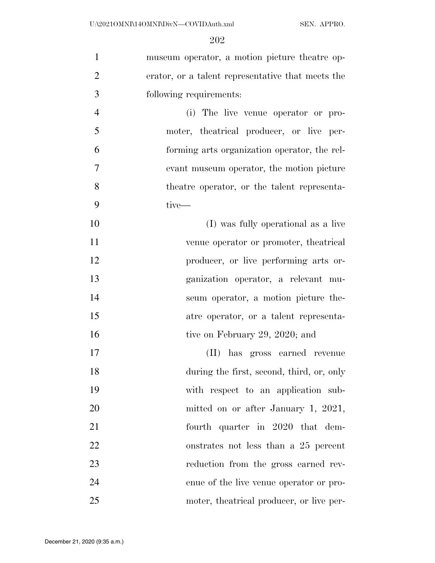| $\mathbf{1}$   | museum operator, a motion picture theatre op-     |
|----------------|---------------------------------------------------|
| $\overline{2}$ | erator, or a talent representative that meets the |
| 3              | following requirements:                           |
| $\overline{4}$ | (i) The live venue operator or pro-               |
| 5              | moter, theatrical producer, or live per-          |
| 6              | forming arts organization operator, the rel-      |
| 7              | evant museum operator, the motion picture         |
| 8              | the atre operator, or the talent representa-      |
| 9              | tive-                                             |
| 10             | (I) was fully operational as a live               |
| 11             | venue operator or promoter, the atrical           |
| 12             | producer, or live performing arts or-             |
| 13             | ganization operator, a relevant mu-               |
| 14             | seum operator, a motion picture the-              |
| 15             | atre operator, or a talent representa-            |
| 16             | tive on February 29, 2020; and                    |
| 17             | (II) has gross earned revenue                     |
| 18             | during the first, second, third, or, only         |
| 19             | with respect to an application sub-               |
| 20             | mitted on or after January 1, 2021,               |
| 21             | fourth quarter in 2020 that dem-                  |
| 22             | onstrates not less than a 25 percent              |
| 23             | reduction from the gross earned rev-              |
| 24             | enue of the live venue operator or pro-           |
| 25             | moter, the atrical producer, or live per-         |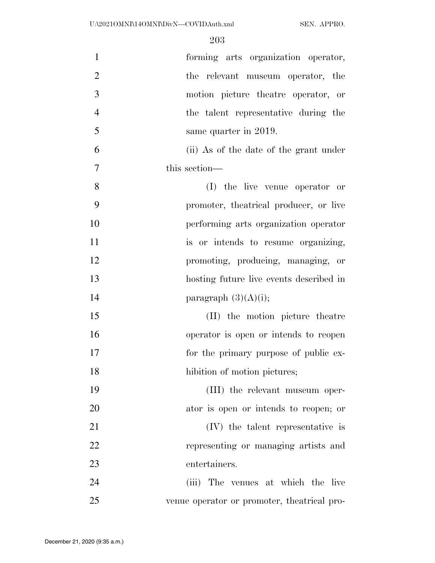| $\mathbf{1}$   | forming arts organization operator,          |
|----------------|----------------------------------------------|
| $\overline{2}$ | the relevant museum operator, the            |
| 3              | motion picture theatre operator, or          |
| $\overline{4}$ | the talent representative during the         |
| 5              | same quarter in 2019.                        |
| 6              | (ii) As of the date of the grant under       |
| $\overline{7}$ | this section—                                |
| 8              | (I) the live venue operator or               |
| 9              | promoter, the atrical producer, or live      |
| 10             | performing arts organization operator        |
| 11             | is or intends to resume organizing,          |
| 12             | promoting, producing, managing, or           |
| 13             | hosting future live events described in      |
| 14             | paragraph $(3)(A)(i);$                       |
| 15             | (II) the motion picture theatre              |
| 16             | operator is open or intends to reopen        |
| 17             | for the primary purpose of public ex-        |
| 18             | hibition of motion pictures;                 |
| 19             | (III) the relevant museum oper-              |
| 20             | ator is open or intends to reopen; or        |
| 21             | (IV) the talent representative is            |
| 22             | representing or managing artists and         |
| 23             | entertainers.                                |
| 24             | (iii) The venues at which the live           |
| 25             | venue operator or promoter, the atrical pro- |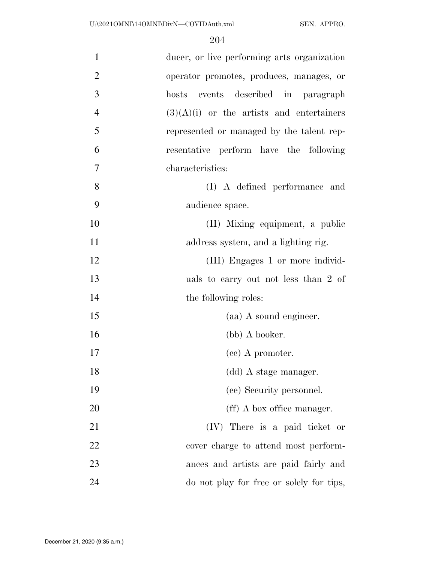| $\mathbf{1}$   | ducer, or live performing arts organization |
|----------------|---------------------------------------------|
| $\overline{2}$ | operator promotes, produces, manages, or    |
| 3              | events described in paragraph<br>hosts      |
| $\overline{4}$ | $(3)(A)(i)$ or the artists and entertainers |
| 5              | represented or managed by the talent rep-   |
| 6              | resentative perform have the following      |
| 7              | characteristics:                            |
| 8              | (I) A defined performance and               |
| 9              | audience space.                             |
| 10             | (II) Mixing equipment, a public             |
| 11             | address system, and a lighting rig.         |
| 12             | (III) Engages 1 or more individ-            |
| 13             | uals to carry out not less than 2 of        |
| 14             | the following roles:                        |
| 15             | (aa) A sound engineer.                      |
| 16             | (bb) A booker.                              |
| 17             | (cc) A promoter.                            |
| 18             | (dd) A stage manager.                       |
| 19             | (ee) Security personnel.                    |
| 20             | (ff) A box office manager.                  |
| 21             | (IV) There is a paid ticket or              |
| 22             | cover charge to attend most perform-        |
| 23             | ances and artists are paid fairly and       |
| 24             | do not play for free or solely for tips,    |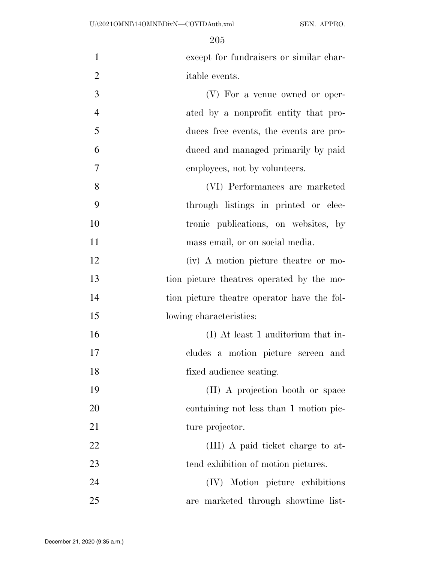except for fundraisers or similar char- itable events. (V) For a venue owned or oper- ated by a nonprofit entity that pro-duces free events, the events are pro-

- duced and managed primarily by paid employees, not by volunteers.
- (VI) Performances are marketed through listings in printed or elec-10 tronic publications, on websites, by 11 mass email, or on social media.
- (iv) A motion picture theatre or mo- tion picture theatres operated by the mo- tion picture theatre operator have the fol-15 lowing characteristics:
- (I) At least 1 auditorium that in- cludes a motion picture screen and fixed audience seating.
- (II) A projection booth or space containing not less than 1 motion pic-21 ture projector.
- 22 (III) A paid ticket charge to at-23 tend exhibition of motion pictures.
- (IV) Motion picture exhibitions are marketed through showtime list-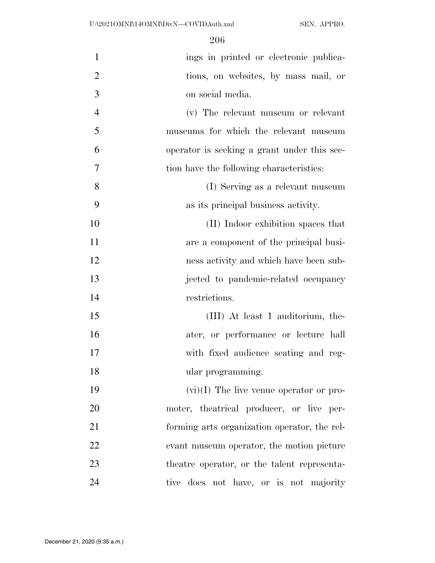| $\mathbf{1}$   | ings in printed or electronic publica-       |
|----------------|----------------------------------------------|
| $\overline{2}$ | tions, on websites, by mass mail, or         |
| 3              | on social media.                             |
| $\overline{4}$ | (v) The relevant museum or relevant          |
| 5              | museums for which the relevant museum        |
| 6              | operator is seeking a grant under this sec-  |
| $\overline{7}$ | tion have the following characteristics:     |
| 8              | (I) Serving as a relevant museum             |
| 9              | as its principal business activity.          |
| 10             | (II) Indoor exhibition spaces that           |
| 11             | are a component of the principal busi-       |
| 12             | ness activity and which have been sub-       |
| 13             | jected to pandemic-related occupancy         |
| 14             | restrictions.                                |
| 15             | (III) At least 1 auditorium, the-            |
| 16             | ater, or performance or lecture hall         |
| 17             | with fixed audience seating and reg-         |
| 18             | ular programming.                            |
| 19             | $(vi)(I)$ The live venue operator or pro-    |
| 20             | moter, theatrical producer, or live per-     |
| 21             | forming arts organization operator, the rel- |
| 22             | evant museum operator, the motion picture    |
| 23             | the atre operator, or the talent representa- |
| 24             | tive does not have, or is not majority       |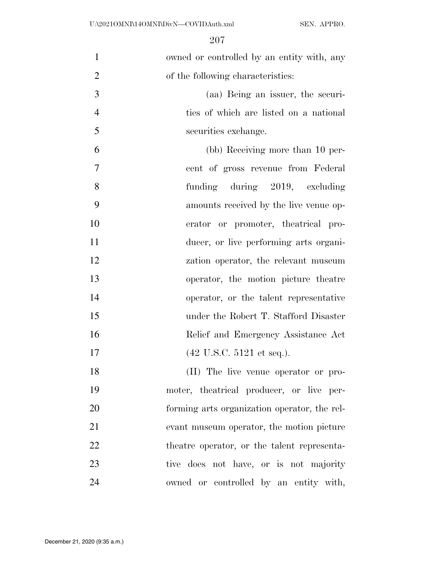| $\mathbf{1}$   | owned or controlled by an entity with, any   |
|----------------|----------------------------------------------|
| $\overline{2}$ | of the following characteristics:            |
| 3              | (aa) Being an issuer, the securi-            |
| $\overline{4}$ | ties of which are listed on a national       |
| 5              | securities exchange.                         |
| 6              | (bb) Receiving more than 10 per-             |
| $\tau$         | cent of gross revenue from Federal           |
| 8              | funding during 2019, excluding               |
| 9              | amounts received by the live venue op-       |
| 10             | erator or promoter, the atrical pro-         |
| 11             | ducer, or live performing arts organi-       |
| 12             | zation operator, the relevant museum         |
| 13             | operator, the motion picture theatre         |
| 14             | operator, or the talent representative       |
| 15             | under the Robert T. Stafford Disaster        |
| 16             | Relief and Emergency Assistance Act          |
| 17             | $(42 \text{ U.S.C. } 5121 \text{ et seq.}).$ |
| 18             | (II) The live venue operator or pro-         |
| 19             | moter, theatrical producer, or live per-     |
| 20             | forming arts organization operator, the rel- |
| 21             | evant museum operator, the motion picture    |
| 22             | theatre operator, or the talent representa-  |
| 23             | tive does not have, or is not majority       |
| 24             | owned or controlled by an entity with,       |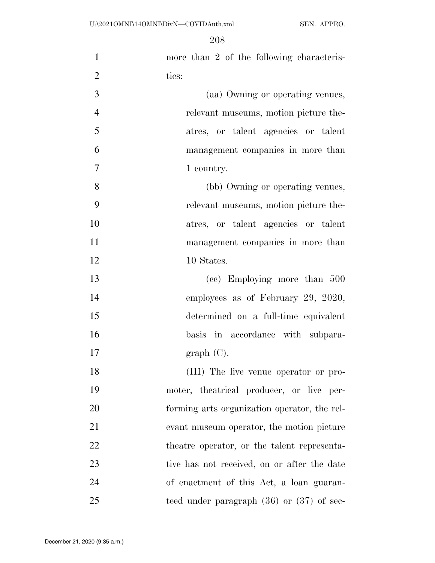U:\2021OMNI\14OMNI\DivN—COVIDAuth.xml SEN. APPRO.

| $\mathbf{1}$   | more than 2 of the following characteris-     |
|----------------|-----------------------------------------------|
| $\overline{2}$ | tics:                                         |
| 3              | (aa) Owning or operating venues,              |
| $\overline{4}$ | relevant museums, motion picture the-         |
| 5              | atres, or talent agencies or talent           |
| 6              | management companies in more than             |
| 7              | 1 country.                                    |
| 8              | (bb) Owning or operating venues,              |
| 9              | relevant museums, motion picture the-         |
| 10             | atres, or talent agencies or talent           |
| 11             | management companies in more than             |
| 12             | 10 States.                                    |
| 13             | (cc) Employing more than 500                  |
| 14             | employees as of February 29, 2020,            |
| 15             | determined on a full-time equivalent          |
| 16             | basis in accordance with subpara-             |
| 17             | graph(C).                                     |
| 18             | (III) The live venue operator or pro-         |
| 19             | moter, theatrical producer, or live per-      |
| 20             | forming arts organization operator, the rel-  |
| 21             | evant museum operator, the motion picture     |
| 22             | the atre operator, or the talent representa-  |
| 23             | tive has not received, on or after the date   |
| 24             | of enactment of this Act, a loan guaran-      |
| 25             | teed under paragraph $(36)$ or $(37)$ of sec- |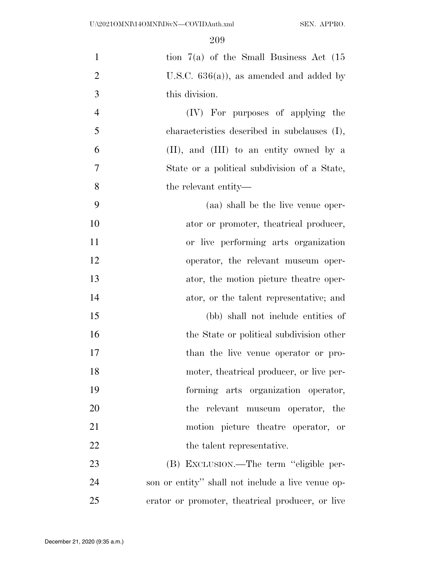| $\mathbf{1}$   | tion $7(a)$ of the Small Business Act $(15)$      |
|----------------|---------------------------------------------------|
| $\overline{2}$ | U.S.C. $636(a)$ , as amended and added by         |
| 3              | this division.                                    |
| $\overline{4}$ | (IV) For purposes of applying the                 |
| 5              | characteristics described in subclauses (I),      |
| 6              | $(II)$ , and $(III)$ to an entity owned by a      |
| $\overline{7}$ | State or a political subdivision of a State,      |
| 8              | the relevant entity—                              |
| 9              | (aa) shall be the live venue oper-                |
| 10             | ator or promoter, the atrical producer,           |
| 11             | or live performing arts organization              |
| 12             | operator, the relevant museum oper-               |
| 13             | ator, the motion picture theatre oper-            |
| 14             | ator, or the talent representative; and           |
| 15             | (bb) shall not include entities of                |
| 16             | the State or political subdivision other          |
| 17             | than the live venue operator or pro-              |
| 18             | moter, theatrical producer, or live per-          |
| 19             | forming arts organization operator,               |
| 20             | the relevant museum operator, the                 |
| 21             | motion picture theatre operator, or               |
| 22             | the talent representative.                        |
| 23             | (B) EXCLUSION.—The term "eligible per-            |
| 24             | son or entity" shall not include a live venue op- |
| 25             | erator or promoter, the atrical producer, or live |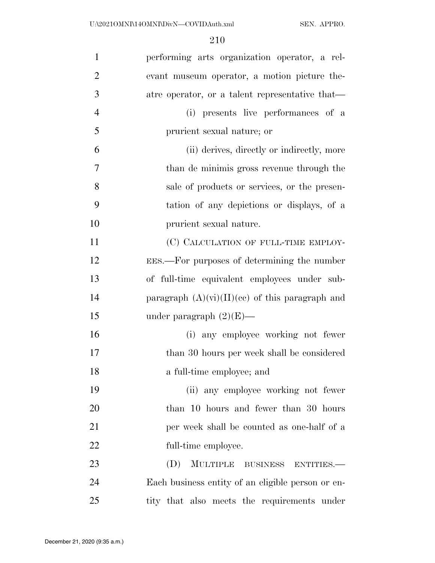| $\mathbf{1}$   | performing arts organization operator, a rel-     |
|----------------|---------------------------------------------------|
| $\overline{2}$ | evant museum operator, a motion picture the-      |
| 3              | atre operator, or a talent representative that—   |
| $\overline{4}$ | (i) presents live performances of a               |
| 5              | prurient sexual nature; or                        |
| 6              | (ii) derives, directly or indirectly, more        |
| 7              | than de minimis gross revenue through the         |
| 8              | sale of products or services, or the presen-      |
| 9              | tation of any depictions or displays, of a        |
| 10             | prurient sexual nature.                           |
| 11             | (C) CALCULATION OF FULL-TIME EMPLOY-              |
| 12             | EES.—For purposes of determining the number       |
| 13             | of full-time equivalent employees under sub-      |
| 14             | paragraph $(A)(vi)(II)(ce)$ of this paragraph and |
| 15             | under paragraph $(2)(E)$ —                        |
| 16             | (i) any employee working not fewer                |
| 17             | than 30 hours per week shall be considered        |
| 18             | a full-time employee; and                         |
| 19             | (ii) any employee working not fewer               |
| 20             | than 10 hours and fewer than 30 hours             |
| 21             | per week shall be counted as one-half of a        |
| 22             | full-time employee.                               |
| 23             | (D)<br>MULTIPLE BUSINESS ENTITIES.                |
| 24             | Each business entity of an eligible person or en- |
| 25             | tity that also meets the requirements under       |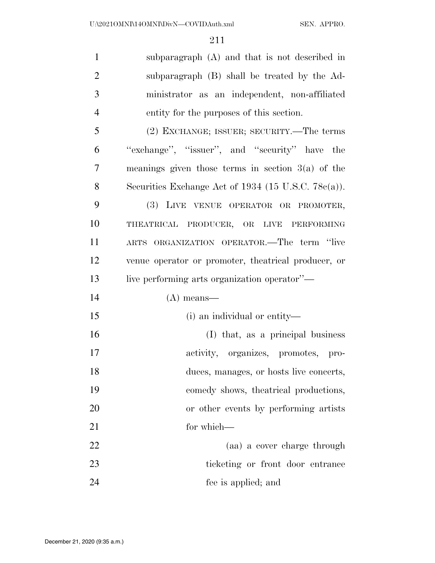subparagraph (A) and that is not described in subparagraph (B) shall be treated by the Ad- ministrator as an independent, non-affiliated entity for the purposes of this section. (2) EXCHANGE; ISSUER; SECURITY.—The terms ''exchange'', ''issuer'', and ''security'' have the meanings given those terms in section 3(a) of the Securities Exchange Act of 1934 (15 U.S.C. 78c(a)). (3) LIVE VENUE OPERATOR OR PROMOTER, THEATRICAL PRODUCER, OR LIVE PERFORMING ARTS ORGANIZATION OPERATOR.—The term ''live

 venue operator or promoter, theatrical producer, or 13 live performing arts organization operator''—

- (A) means—
- (i) an individual or entity— (I) that, as a principal business activity, organizes, promotes, pro- duces, manages, or hosts live concerts, comedy shows, theatrical productions, or other events by performing artists 21 for which— (aa) a cover charge through
- 23 ticketing or front door entrance fee is applied; and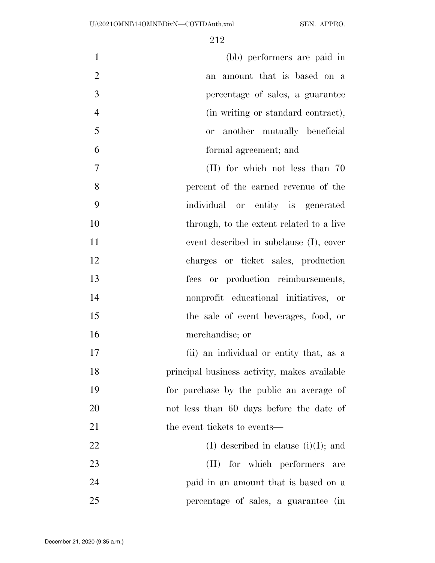| $\mathbf{1}$   | (bb) performers are paid in              |
|----------------|------------------------------------------|
| $\overline{2}$ | an amount that is based on a             |
| 3              | percentage of sales, a guarantee         |
| $\overline{4}$ | (in writing or standard contract),       |
| 5              | or another mutually beneficial           |
| 6              | formal agreement; and                    |
| $\overline{7}$ | $(II)$ for which not less than 70        |
| 8              | percent of the earned revenue of the     |
| 9              | individual or entity is generated        |
| 10             | through, to the extent related to a live |
| 11             | event described in subclause (I), cover  |
| 12             | charges or ticket sales, production      |
| 13             | fees or production reimbursements,       |
| 14             | nonprofit educational initiatives,<br>or |
| 15             | the sale of event beverages, food, or    |
| 16             | merchandise; or                          |
| 17             | (ii) an individual or entity that, as a  |

 principal business activity, makes available for purchase by the public an average of not less than 60 days before the date of 21 the event tickets to events—

22 (I) described in clause (i)(I); and 23 (II) for which performers are paid in an amount that is based on a percentage of sales, a guarantee (in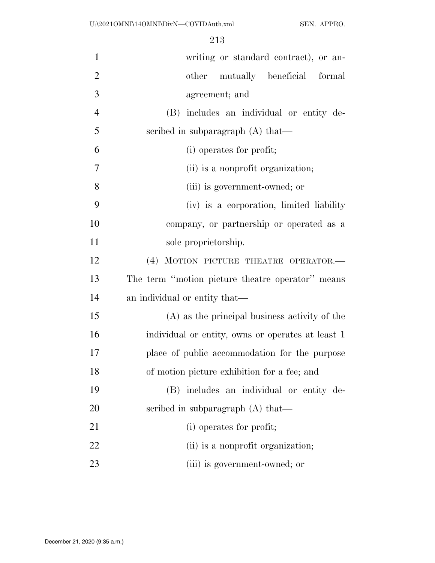| $\mathbf{1}$   | writing or standard contract), or an-             |
|----------------|---------------------------------------------------|
| $\overline{2}$ | other mutually beneficial formal                  |
| 3              | agreement; and                                    |
| $\overline{4}$ | (B) includes an individual or entity de-          |
| 5              | scribed in subparagraph $(A)$ that—               |
| 6              | (i) operates for profit;                          |
| $\overline{7}$ | (ii) is a nonprofit organization;                 |
| 8              | (iii) is government-owned; or                     |
| 9              | (iv) is a corporation, limited liability          |
| 10             | company, or partnership or operated as a          |
| 11             | sole proprietorship.                              |
| 12             | (4) MOTION PICTURE THEATRE OPERATOR.-             |
| 13             | The term "motion picture theatre operator" means  |
| 14             | an individual or entity that—                     |
| 15             | (A) as the principal business activity of the     |
| 16             | individual or entity, owns or operates at least 1 |
| 17             | place of public accommodation for the purpose     |
| 18             | of motion picture exhibition for a fee; and       |
| 19             | (B) includes an individual or entity de-          |
| 20             | scribed in subparagraph $(A)$ that—               |
| 21             | (i) operates for profit;                          |
| 22             | (ii) is a nonprofit organization;                 |
| 23             | (iii) is government-owned; or                     |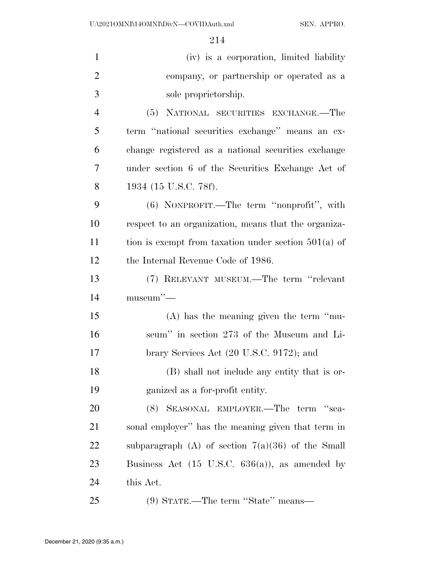| $\mathbf{1}$   | (iv) is a corporation, limited liability                   |
|----------------|------------------------------------------------------------|
| $\overline{2}$ | company, or partnership or operated as a                   |
| 3              | sole proprietorship.                                       |
| $\overline{4}$ | (5) NATIONAL SECURITIES EXCHANGE.—The                      |
| 5              | term "national securities exchange" means an ex-           |
| 6              | change registered as a national securities exchange        |
| 7              | under section 6 of the Securities Exchange Act of          |
| 8              | 1934 (15 U.S.C. 78f).                                      |
| 9              | (6) NONPROFIT.—The term "nonprofit", with                  |
| 10             | respect to an organization, means that the organiza-       |
| 11             | tion is exempt from taxation under section $501(a)$ of     |
| 12             | the Internal Revenue Code of 1986.                         |
| 13             | (7) RELEVANT MUSEUM.—The term "relevant"                   |
| 14             | $museum''$ —                                               |
| 15             | $(A)$ has the meaning given the term "mu-                  |
| 16             | seum" in section 273 of the Museum and Li-                 |
| 17             | brary Services Act (20 U.S.C. 9172); and                   |
| 18             | (B) shall not include any entity that is or-               |
| 19             | ganized as a for-profit entity.                            |
| 20             | (8) SEASONAL EMPLOYER.—The term "sea-                      |
| 21             | sonal employer" has the meaning given that term in         |
| <u>22</u>      | subparagraph (A) of section $7(a)(36)$ of the Small        |
| 23             | Business Act $(15 \text{ U.S.C. } 636(a))$ , as amended by |
| 24             | this Act.                                                  |
| 25             | (9) STATE.—The term "State" means—                         |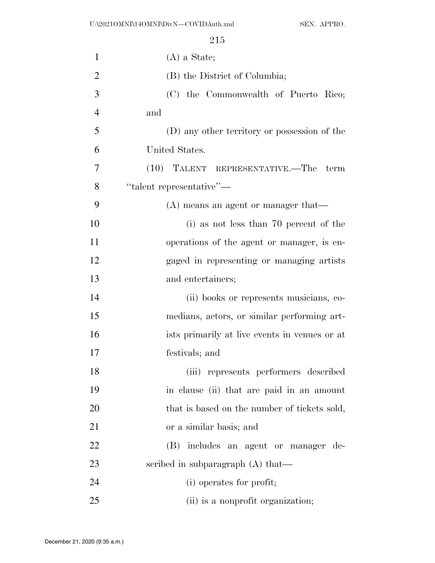| $\mathbf{1}$   | $(A)$ a State;                                |
|----------------|-----------------------------------------------|
| $\overline{2}$ | (B) the District of Columbia;                 |
| 3              | (C) the Commonwealth of Puerto Rico;          |
| $\overline{4}$ | and                                           |
| 5              | (D) any other territory or possession of the  |
| 6              | United States.                                |
| 7              | (10)<br>TALENT REPRESENTATIVE.—The term       |
| 8              | "talent representative"-                      |
| 9              | $(A)$ means an agent or manager that—         |
| 10             | (i) as not less than 70 percent of the        |
| 11             | operations of the agent or manager, is en-    |
| 12             | gaged in representing or managing artists     |
| 13             | and entertainers;                             |
| 14             | (ii) books or represents musicians, co-       |
| 15             | medians, actors, or similar performing art-   |
| 16             | ists primarily at live events in venues or at |
| 17             | festivals; and                                |
| 18             | (iii) represents performers described         |
| 19             | in clause (ii) that are paid in an amount     |
| 20             | that is based on the number of tickets sold,  |
| 21             | or a similar basis; and                       |
| 22             | includes an agent or manager de-<br>(B)       |
| 23             | scribed in subparagraph $(A)$ that—           |
| 24             | (i) operates for profit;                      |
| 25             | (ii) is a nonprofit organization;             |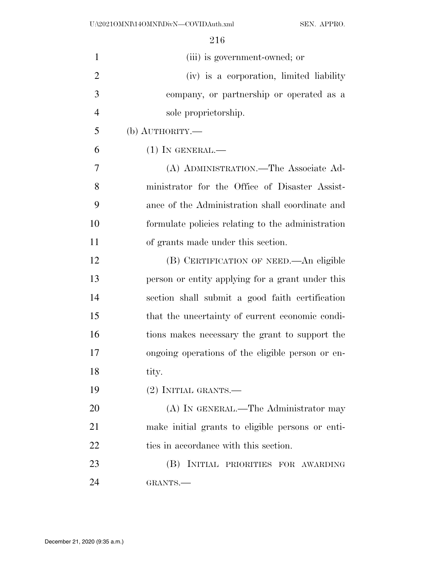| $\mathbf{1}$   | (iii) is government-owned; or                     |
|----------------|---------------------------------------------------|
| $\overline{2}$ | (iv) is a corporation, limited liability          |
| 3              | company, or partnership or operated as a          |
| $\overline{4}$ | sole proprietorship.                              |
| 5              | (b) $\text{AUTHORITY}$ .                          |
| 6              | $(1)$ In GENERAL.—                                |
| 7              | (A) ADMINISTRATION.—The Associate Ad-             |
| 8              | ministrator for the Office of Disaster Assist-    |
| 9              | ance of the Administration shall coordinate and   |
| 10             | formulate policies relating to the administration |
| 11             | of grants made under this section.                |
| 12             | (B) CERTIFICATION OF NEED.—An eligible            |
| 13             | person or entity applying for a grant under this  |
| 14             | section shall submit a good faith certification   |
| 15             | that the uncertainty of current economic condi-   |
| 16             | tions makes necessary the grant to support the    |
| 17             | ongoing operations of the eligible person or en-  |
| 18             | tity.                                             |
| 19             | $(2)$ INITIAL GRANTS.—                            |
| 20             | (A) IN GENERAL.—The Administrator may             |
| 21             | make initial grants to eligible persons or enti-  |
| 22             | ties in accordance with this section.             |
| 23             | (B) INITIAL PRIORITIES FOR AWARDING               |
| 24             | GRANTS.                                           |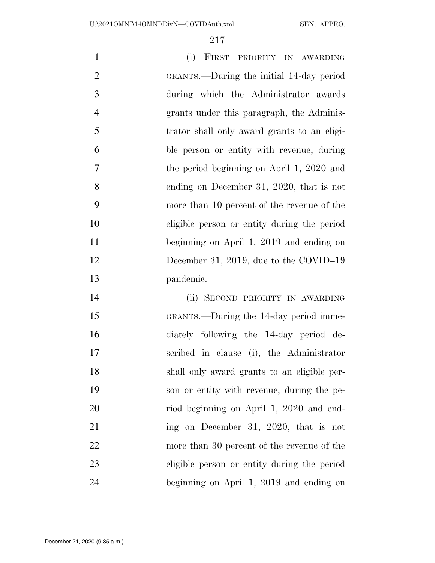(i) FIRST PRIORITY IN AWARDING GRANTS.—During the initial 14-day period during which the Administrator awards grants under this paragraph, the Adminis- trator shall only award grants to an eligi- ble person or entity with revenue, during the period beginning on April 1, 2020 and ending on December 31, 2020, that is not more than 10 percent of the revenue of the eligible person or entity during the period beginning on April 1, 2019 and ending on 12 December 31, 2019, due to the COVID–19 pandemic.

 (ii) SECOND PRIORITY IN AWARDING GRANTS.—During the 14-day period imme- diately following the 14-day period de- scribed in clause (i), the Administrator shall only award grants to an eligible per- son or entity with revenue, during the pe- riod beginning on April 1, 2020 and end-21 ing on December 31, 2020, that is not more than 30 percent of the revenue of the eligible person or entity during the period beginning on April 1, 2019 and ending on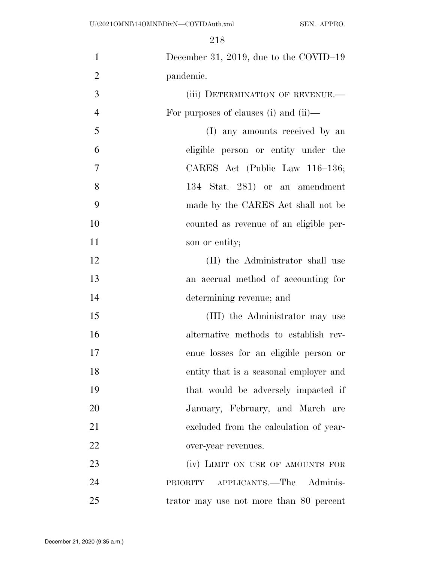| $\mathbf{1}$   | December 31, 2019, due to the COVID-19  |
|----------------|-----------------------------------------|
| $\overline{2}$ | pandemic.                               |
| 3              | (iii) DETERMINATION OF REVENUE.-        |
| $\overline{4}$ | For purposes of clauses (i) and (ii)—   |
| 5              | (I) any amounts received by an          |
| 6              | eligible person or entity under the     |
| $\overline{7}$ | CARES Act (Public Law 116–136;          |
| 8              | 134 Stat. 281) or an amendment          |
| 9              | made by the CARES Act shall not be      |
| 10             | counted as revenue of an eligible per-  |
| 11             | son or entity;                          |
| 12             | (II) the Administrator shall use        |
| 13             | an accrual method of accounting for     |
| 14             | determining revenue; and                |
| 15             | (III) the Administrator may use         |
| 16             | alternative methods to establish rev-   |
| 17             | enue losses for an eligible person or   |
| 18             | entity that is a seasonal employer and  |
| 19             | that would be adversely impacted if     |
| 20             | January, February, and March are        |
| 21             | excluded from the calculation of year-  |
| 22             | over-year revenues.                     |
| 23             | (iv) LIMIT ON USE OF AMOUNTS FOR        |
| 24             | PRIORITY APPLICANTS.—The Adminis-       |
| 25             | trator may use not more than 80 percent |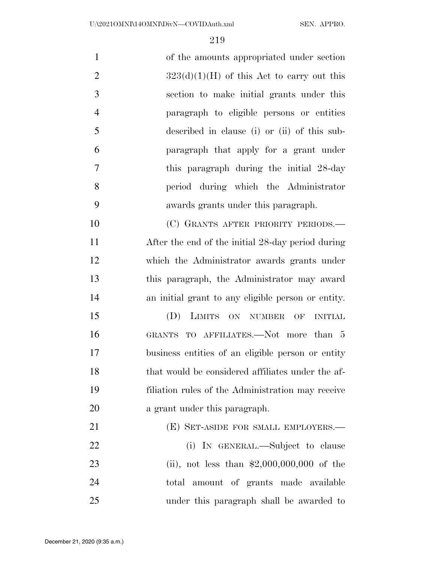of the amounts appropriated under section  $323(d)(1)(H)$  of this Act to carry out this section to make initial grants under this paragraph to eligible persons or entities described in clause (i) or (ii) of this sub- paragraph that apply for a grant under this paragraph during the initial 28-day period during which the Administrator awards grants under this paragraph. 10 (C) GRANTS AFTER PRIORITY PERIODS.— After the end of the initial 28-day period during

 which the Administrator awards grants under this paragraph, the Administrator may award an initial grant to any eligible person or entity.

 (D) LIMITS ON NUMBER OF INITIAL 16 GRANTS TO AFFILIATES.—Not more than 5 business entities of an eligible person or entity that would be considered affiliates under the af- filiation rules of the Administration may receive a grant under this paragraph.

**(E) SET-ASIDE FOR SMALL EMPLOYERS.—** 22 (i) IN GENERAL.—Subject to clause (ii), not less than \$2,000,000,000 of the total amount of grants made available under this paragraph shall be awarded to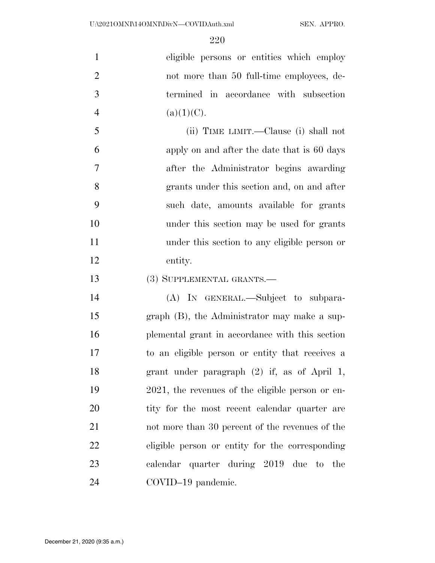eligible persons or entities which employ 2 not more than 50 full-time employees, de- termined in accordance with subsection 4 (a)(1)(C).

 (ii) TIME LIMIT.—Clause (i) shall not apply on and after the date that is 60 days after the Administrator begins awarding grants under this section and, on and after such date, amounts available for grants under this section may be used for grants under this section to any eligible person or entity.

(3) SUPPLEMENTAL GRANTS.—

 (A) IN GENERAL.—Subject to subpara- graph (B), the Administrator may make a sup- plemental grant in accordance with this section to an eligible person or entity that receives a grant under paragraph (2) if, as of April 1, 2021, the revenues of the eligible person or en-20 tity for the most recent calendar quarter are not more than 30 percent of the revenues of the eligible person or entity for the corresponding calendar quarter during 2019 due to the COVID–19 pandemic.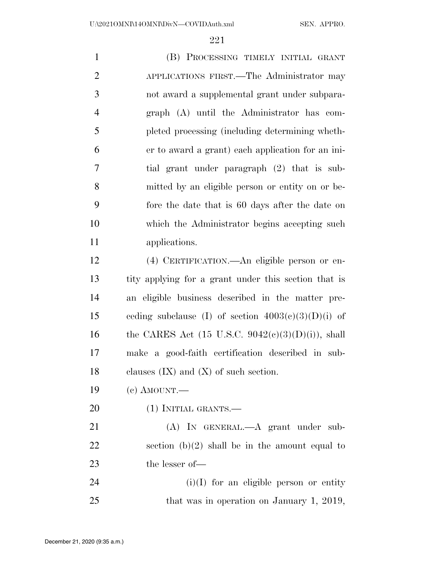(B) PROCESSING TIMELY INITIAL GRANT APPLICATIONS FIRST.—The Administrator may not award a supplemental grant under subpara- graph (A) until the Administrator has com- pleted processing (including determining wheth- er to award a grant) each application for an ini- tial grant under paragraph (2) that is sub- mitted by an eligible person or entity on or be- fore the date that is 60 days after the date on which the Administrator begins accepting such applications. (4) CERTIFICATION.—An eligible person or en- tity applying for a grant under this section that is an eligible business described in the matter pre-15 ceding subclause (I) of section  $4003(c)(3)(D)(i)$  of

16 the CARES Act (15 U.S.C.  $9042(c)(3)(D)(i)$ ), shall make a good-faith certification described in sub-18 clauses  $(IX)$  and  $(X)$  of such section.

- (c) AMOUNT.—
- (1) INITIAL GRANTS.—

 (A) IN GENERAL.—A grant under sub-22 section  $(b)(2)$  shall be in the amount equal to the lesser of—

 (i)(I) for an eligible person or entity 25 that was in operation on January 1, 2019,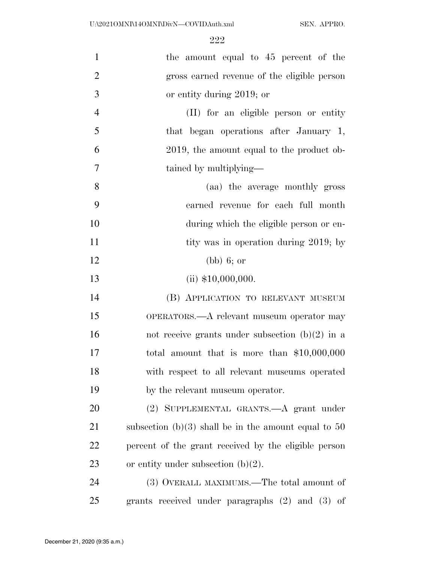| $\mathbf{1}$   | the amount equal to 45 percent of the                  |
|----------------|--------------------------------------------------------|
| $\overline{2}$ | gross earned revenue of the eligible person            |
| 3              | or entity during 2019; or                              |
| $\overline{4}$ | (II) for an eligible person or entity                  |
| 5              | that began operations after January 1,                 |
| 6              | 2019, the amount equal to the product ob-              |
| 7              | tained by multiplying—                                 |
| 8              | (aa) the average monthly gross                         |
| 9              | earned revenue for each full month                     |
| 10             | during which the eligible person or en-                |
| 11             | tity was in operation during 2019; by                  |
| 12             | (bb) 6; or                                             |
| 13             | (ii) $$10,000,000$ .                                   |
| 14             | (B) APPLICATION TO RELEVANT MUSEUM                     |
| 15             | OPERATORS.—A relevant museum operator may              |
| 16             | not receive grants under subsection $(b)(2)$ in a      |
| 17             | total amount that is more than $$10,000,000$           |
| 18             | with respect to all relevant museums operated          |
| 19             | by the relevant museum operator.                       |
| 20             | (2) SUPPLEMENTAL GRANTS.—A grant under                 |
| 21             | subsection (b)(3) shall be in the amount equal to $50$ |
| 22             | percent of the grant received by the eligible person   |
| 23             | or entity under subsection $(b)(2)$ .                  |
| 24             | (3) OVERALL MAXIMUMS.—The total amount of              |
| 25             | grants received under paragraphs $(2)$ and $(3)$ of    |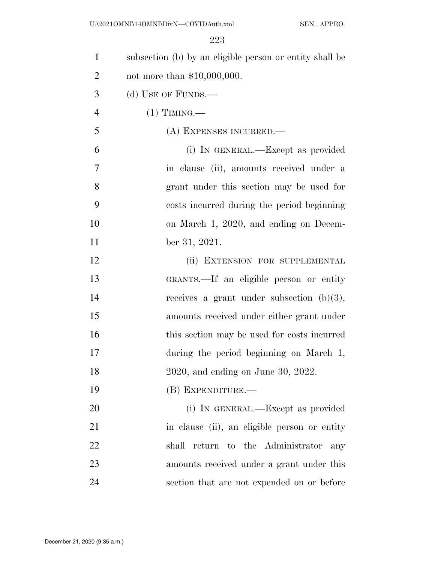| $\mathbf{1}$   | subsection (b) by an eligible person or entity shall be |
|----------------|---------------------------------------------------------|
| $\overline{2}$ | not more than $$10,000,000$ .                           |
| 3              | (d) USE OF FUNDS.—                                      |
| $\overline{4}$ | $(1)$ TIMING.—                                          |
| 5              | (A) EXPENSES INCURRED.                                  |
| 6              | (i) IN GENERAL.—Except as provided                      |
| 7              | in clause (ii), amounts received under a                |
| 8              | grant under this section may be used for                |
| 9              | costs incurred during the period beginning              |
| 10             | on March 1, 2020, and ending on Decem-                  |
| 11             | ber 31, 2021.                                           |
| 12             | (ii) EXTENSION FOR SUPPLEMENTAL                         |
| 13             | GRANTS.—If an eligible person or entity                 |
| 14             | receives a grant under subsection $(b)(3)$ ,            |
| 15             | amounts received under either grant under               |
| 16             | this section may be used for costs incurred             |
| 17             | during the period beginning on March 1,                 |
| 18             | 2020, and ending on June 30, 2022.                      |
| 19             | (B) EXPENDITURE.—                                       |
| 20             | (i) IN GENERAL.—Except as provided                      |
| 21             | in clause (ii), an eligible person or entity            |
| 22             | return to the Administrator<br>shall<br>any             |
| 23             | amounts received under a grant under this               |
| 24             | section that are not expended on or before              |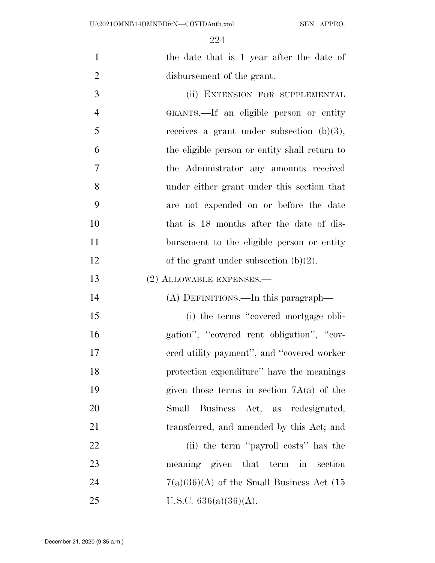| $\mathbf{1}$   | the date that is 1 year after the date of     |
|----------------|-----------------------------------------------|
| $\overline{2}$ | disbursement of the grant.                    |
| 3              | (ii) EXTENSION FOR SUPPLEMENTAL               |
| $\overline{4}$ | GRANTS.—If an eligible person or entity       |
| 5              | receives a grant under subsection $(b)(3)$ ,  |
| 6              | the eligible person or entity shall return to |
| $\overline{7}$ | the Administrator any amounts received        |
| 8              | under either grant under this section that    |
| 9              | are not expended on or before the date        |
| 10             | that is 18 months after the date of dis-      |
| 11             | bursement to the eligible person or entity    |
| 12             | of the grant under subsection $(b)(2)$ .      |
| 13             | $(2)$ ALLOWABLE EXPENSES.—                    |
| 14             | (A) DEFINITIONS.—In this paragraph—           |
| 15             | (i) the terms "covered mortgage obli-         |
| 16             | gation", "covered rent obligation", "cov-     |
| 17             | ered utility payment", and "covered worker"   |
| 18             | protection expenditure" have the meanings     |
| 19             | given those terms in section $7A(a)$ of the   |
| 20             | Business Act, as redesignated,<br>Small       |
| 21             | transferred, and amended by this Act; and     |
| 22             | (ii) the term "payroll costs" has the         |
|                |                                               |
| 23             | meaning given that term in section            |
| 24             | $7(a)(36)(A)$ of the Small Business Act (15   |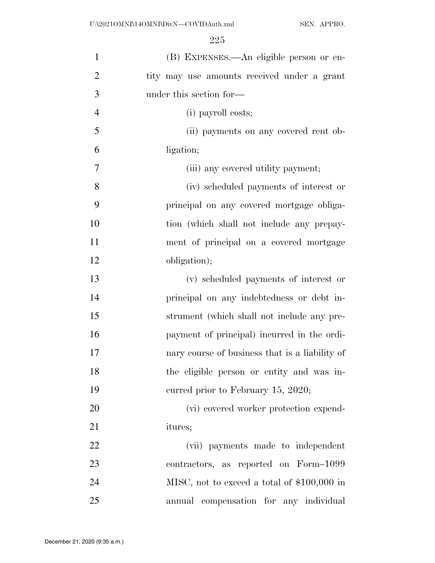| $\mathbf{1}$   | (B) EXPENSES.—An eligible person or en-        |
|----------------|------------------------------------------------|
| $\overline{2}$ | tity may use amounts received under a grant    |
| 3              | under this section for—                        |
| $\overline{4}$ | (i) payroll costs;                             |
| 5              | (ii) payments on any covered rent ob-          |
| 6              | ligation;                                      |
| 7              | (iii) any covered utility payment;             |
| 8              | (iv) scheduled payments of interest or         |
| 9              | principal on any covered mortgage obliga-      |
| 10             | tion (which shall not include any prepay-      |
| 11             | ment of principal on a covered mortgage        |
| 12             | obligation);                                   |
| 13             | (v) scheduled payments of interest or          |
| 14             | principal on any indebtedness or debt in-      |
| 15             | strument (which shall not include any pre-     |
| 16             | payment of principal) incurred in the ordi-    |
| 17             | nary course of business that is a liability of |
| 18             | the eligible person or entity and was in-      |
| 19             | curred prior to February 15, 2020;             |
| 20             | (vi) covered worker protection expend-         |
| 21             | itures;                                        |
| 22             | (vii) payments made to independent             |
| 23             | contractors, as reported on Form-1099          |
| 24             | MISC, not to exceed a total of \$100,000 in    |
| 25             | annual compensation for any individual         |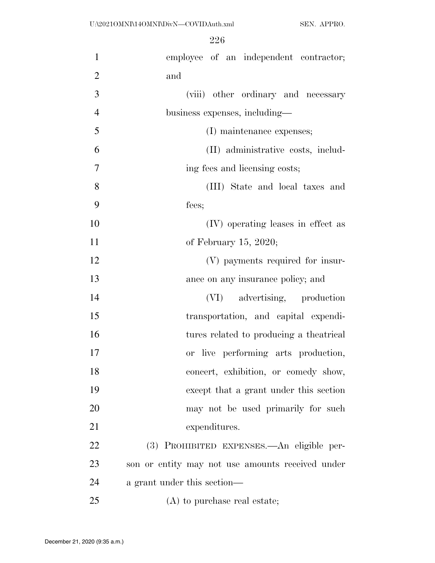| $\mathbf{1}$   | employee of an independent contractor;           |
|----------------|--------------------------------------------------|
| $\overline{2}$ | and                                              |
| 3              | (viii) other ordinary and necessary              |
| $\overline{4}$ | business expenses, including—                    |
| 5              | (I) maintenance expenses;                        |
| 6              | (II) administrative costs, includ-               |
| 7              | ing fees and licensing costs;                    |
| 8              | (III) State and local taxes and                  |
| 9              | fees;                                            |
| 10             | (IV) operating leases in effect as               |
| 11             | of February 15, 2020;                            |
| 12             | (V) payments required for insur-                 |
| 13             | ance on any insurance policy; and                |
| 14             | (VI) advertising, production                     |
| 15             | transportation, and capital expendi-             |
| 16             | tures related to producing a theatrical          |
| 17             | or live performing arts production,              |
| 18             | concert, exhibition, or comedy show,             |
| 19             | except that a grant under this section           |
| 20             | may not be used primarily for such               |
| 21             | expenditures.                                    |
| 22             | (3) PROHIBITED EXPENSES. An eligible per-        |
| 23             | son or entity may not use amounts received under |
| 24             | a grant under this section—                      |
| 25             | (A) to purchase real estate;                     |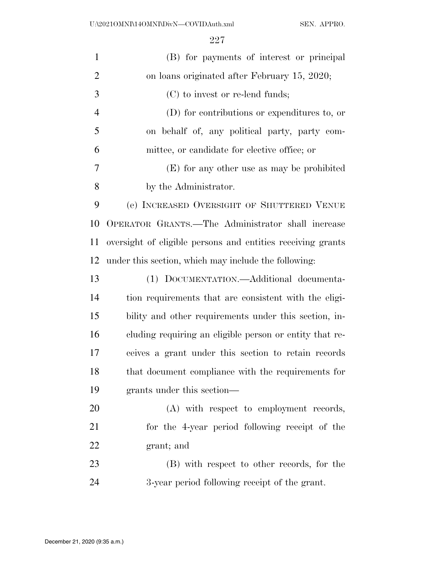| $\mathbf{1}$   | (B) for payments of interest or principal                   |
|----------------|-------------------------------------------------------------|
| $\overline{2}$ | on loans originated after February 15, 2020;                |
| 3              | $(C)$ to invest or re-lend funds;                           |
| $\overline{4}$ | (D) for contributions or expenditures to, or                |
| 5              | on behalf of, any political party, party com-               |
| 6              | mittee, or candidate for elective office; or                |
| 7              | (E) for any other use as may be prohibited                  |
| 8              | by the Administrator.                                       |
| 9              | (e) INCREASED OVERSIGHT OF SHUTTERED VENUE                  |
| 10             | OPERATOR GRANTS.—The Administrator shall increase           |
| 11             | oversight of eligible persons and entities receiving grants |
| 12             | under this section, which may include the following:        |
| 13             | (1) DOCUMENTATION.—Additional documenta-                    |
| 14             | tion requirements that are consistent with the eligi-       |
| 15             | bility and other requirements under this section, in-       |
| 16             | cluding requiring an eligible person or entity that re-     |
| 17             | ceives a grant under this section to retain records         |
| 18             | that document compliance with the requirements for          |
| 19             | grants under this section—                                  |
| 20             | (A) with respect to employment records,                     |
| 21             | for the 4-year period following receipt of the              |
| 22             | grant; and                                                  |
| 23             | (B) with respect to other records, for the                  |
| 24             | 3-year period following receipt of the grant.               |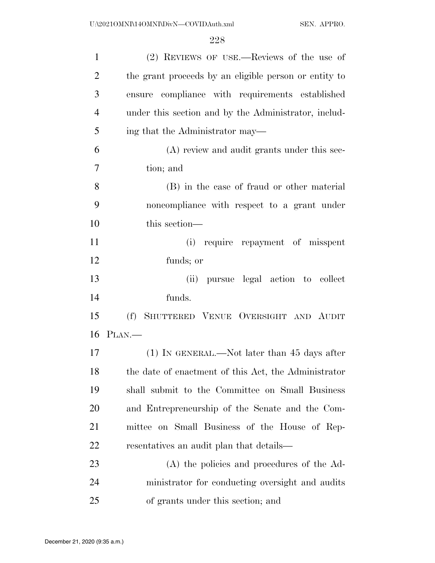| $\mathbf{1}$   | (2) REVIEWS OF USE.—Reviews of the use of             |
|----------------|-------------------------------------------------------|
| $\overline{2}$ | the grant proceeds by an eligible person or entity to |
| 3              | ensure compliance with requirements established       |
| $\overline{4}$ | under this section and by the Administrator, includ-  |
| 5              | ing that the Administrator may—                       |
| 6              | (A) review and audit grants under this sec-           |
| 7              | tion; and                                             |
| 8              | (B) in the case of fraud or other material            |
| 9              | noncompliance with respect to a grant under           |
| 10             | this section-                                         |
| 11             | (i) require repayment of misspent                     |
| 12             | funds; or                                             |
| 13             | pursue legal action to collect<br>(ii)                |
| 14             | funds.                                                |
| 15             | SHUTTERED VENUE OVERSIGHT AND AUDIT<br>(f)            |
|                | 16 PLAN.—                                             |
| 17             | $(1)$ In GENERAL.—Not later than 45 days after        |
| 18             | the date of enactment of this Act, the Administrator  |
| 19             | shall submit to the Committee on Small Business       |
| 20             | and Entrepreneurship of the Senate and the Com-       |
| 21             | mittee on Small Business of the House of Rep-         |
| 22             | resentatives an audit plan that details—              |
| 23             | (A) the policies and procedures of the Ad-            |
| 24             | ministrator for conducting oversight and audits       |
| 25             | of grants under this section; and                     |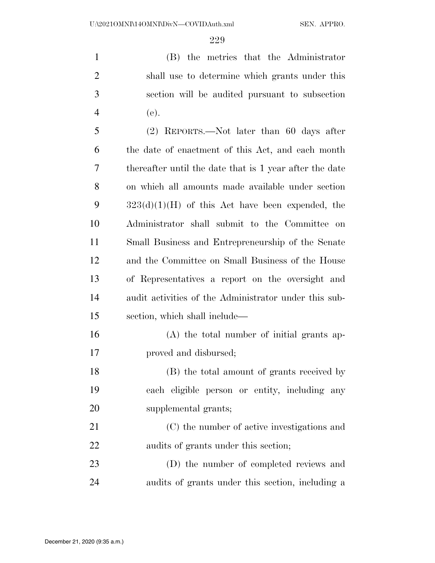(B) the metrics that the Administrator shall use to determine which grants under this section will be audited pursuant to subsection (e).

 (2) REPORTS.—Not later than 60 days after the date of enactment of this Act, and each month thereafter until the date that is 1 year after the date on which all amounts made available under section  $323(d)(1)(H)$  of this Act have been expended, the Administrator shall submit to the Committee on Small Business and Entrepreneurship of the Senate and the Committee on Small Business of the House of Representatives a report on the oversight and audit activities of the Administrator under this sub-section, which shall include—

 (A) the total number of initial grants ap-proved and disbursed;

 (B) the total amount of grants received by each eligible person or entity, including any supplemental grants;

 (C) the number of active investigations and audits of grants under this section;

 (D) the number of completed reviews and audits of grants under this section, including a